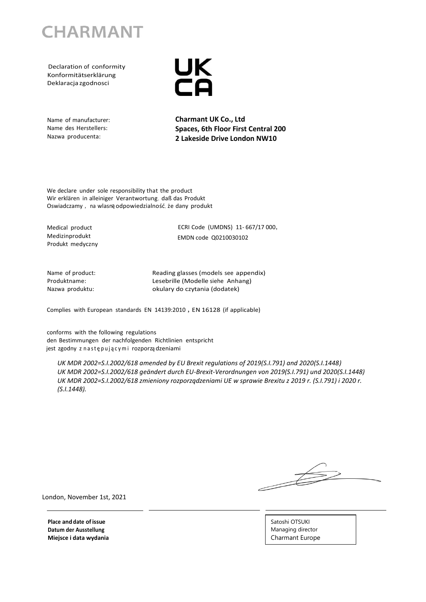

 Declaration of conformity Konformitätserklärung Deklaracja zgodnosci



Name of manufacturer: Name des Herstellers: Nazwa producenta:

**Charmant UK Co., Ltd Spaces, 6th Floor First Central 200 2 Lakeside Drive London NW10**

We declare under sole responsibility that the product Wir erklären in alleiniger Verantwortung, daß das Produkt Oswiadczamy, na wlasną odpowiedzialność, że dany produkt

Medical product Medizinprodukt Produkt medyczny ECRI Code (UMDNS) 11- 667/17 000, EMDN code Q0210030102

Name of product: Produktname: Nazwa produktu:

Reading glasses (models see appendix) Lesebrille (Modelle siehe Anhang) okulary do czytania (dodatek)

Complies with European standards EN 14139:2010, EN 16128 (if applicable)

conforms with the following regulations den Bestimmungen der nachfolgenden Richtlinien entspricht jest zgodny z następującymi rozporządzeniami

*UK MDR 2002=S.I.2002/618 amended by EU Brexit regulations of 2019(S.I.791) and 2020(S.I.1448) UK MDR 2002=S.I.2002/618 geändert durch EU-Brexit-Verordnungen von 2019(S.I.791) und 2020(S.I.1448) UK MDR 2002=S.I.2002/618 zmieniony rozporządzeniami UE w sprawie Brexitu z 2019 r. (S.I.791) i 2020 r. (S.I.1448).*

 $\frac{1}{\sqrt{2\pi}}$ 

London, November 1st, 2021

**Place anddate ofissue Datum der Ausstellung Miejsce i data wydania** Satoshi OTSUKI Managing director Charmant Europe